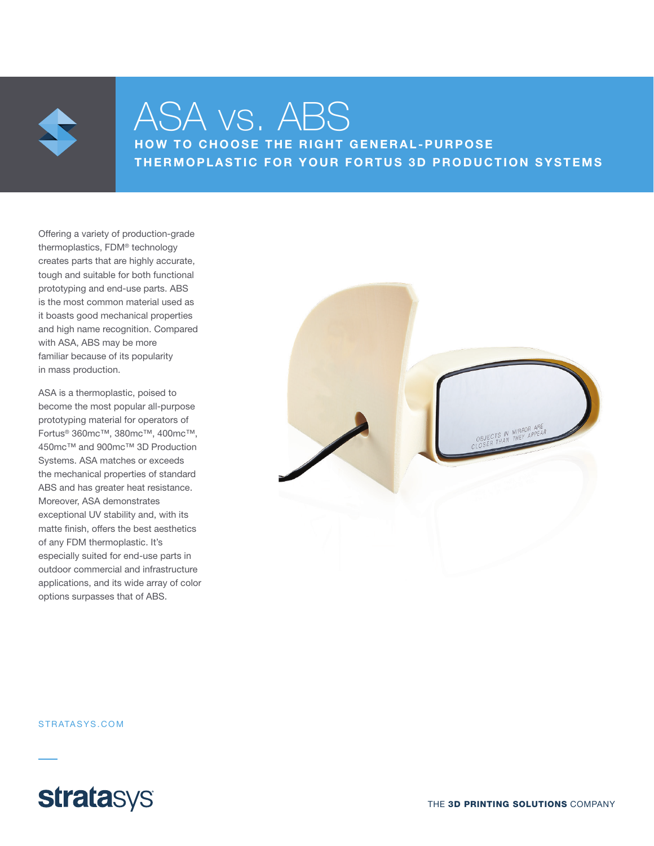

## ASA vs. ABS

HOW TO CHOOSE THE RIGHT GENERAL-PURPOSE THERMOPLASTIC FOR YOUR FORTUS 3D PRODUCTION SYSTEMS

Offering a variety of production-grade thermoplastics, FDM® technology creates parts that are highly accurate, tough and suitable for both functional prototyping and end-use parts. ABS is the most common material used as it boasts good mechanical properties and high name recognition. Compared with ASA, ABS may be more familiar because of its popularity in mass production.

ASA is a thermoplastic, poised to become the most popular all-purpose prototyping material for operators of Fortus® 360mc™, 380mc™, 400mc™, 450mc™ and 900mc™ 3D Production Systems. ASA matches or exceeds the mechanical properties of standard ABS and has greater heat resistance. Moreover, ASA demonstrates exceptional UV stability and, with its matte finish, offers the best aesthetics of any FDM thermoplastic. It's especially suited for end-use parts in outdoor commercial and infrastructure applications, and its wide array of color options surpasses that of ABS.



STRATASYS.COM